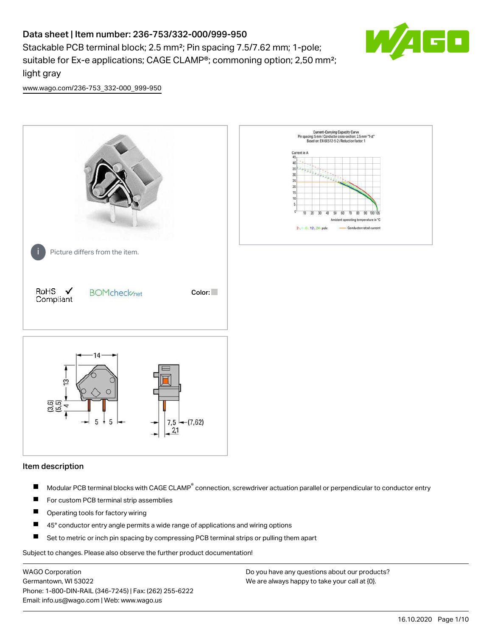# Data sheet | Item number: 236-753/332-000/999-950

Stackable PCB terminal block; 2.5 mm²; Pin spacing 7.5/7.62 mm; 1-pole; suitable for Ex-e applications; CAGE CLAMP®; commoning option; 2,50 mm²; light gray



[www.wago.com/236-753\\_332-000\\_999-950](http://www.wago.com/236-753_332-000_999-950)



### Item description

- Modular PCB terminal blocks with CAGE CLAMP<sup>®</sup> connection, screwdriver actuation parallel or perpendicular to conductor entry П
- $\blacksquare$ For custom PCB terminal strip assemblies
- П Operating tools for factory wiring
- $\blacksquare$ 45° conductor entry angle permits a wide range of applications and wiring options
- П Set to metric or inch pin spacing by compressing PCB terminal strips or pulling them apart

Subject to changes. Please also observe the further product documentation!

WAGO Corporation Germantown, WI 53022 Phone: 1-800-DIN-RAIL (346-7245) | Fax: (262) 255-6222 Email: info.us@wago.com | Web: www.wago.us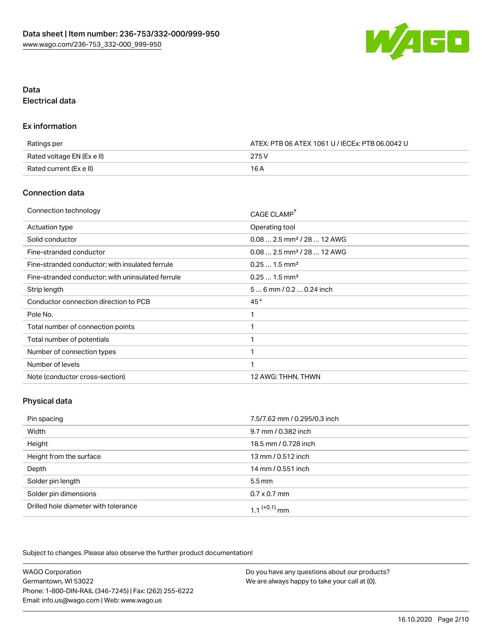

## Data Electrical data

#### Ex information

| Ratings per                | ATEX: PTB 06 ATEX 1061 U / IECEx: PTB 06.0042 U |  |
|----------------------------|-------------------------------------------------|--|
| Rated voltage EN (Ex e II) | 275 V                                           |  |
| Rated current (Ex e II)    | 16 A                                            |  |

## Connection data

| Connection technology                             | CAGE CLAMP®                            |
|---------------------------------------------------|----------------------------------------|
| <b>Actuation type</b>                             | Operating tool                         |
| Solid conductor                                   | $0.082.5$ mm <sup>2</sup> / 28  12 AWG |
| Fine-stranded conductor                           | $0.082.5$ mm <sup>2</sup> / 28  12 AWG |
| Fine-stranded conductor; with insulated ferrule   | $0.251.5$ mm <sup>2</sup>              |
| Fine-stranded conductor; with uninsulated ferrule | $0.251.5$ mm <sup>2</sup>              |
| Strip length                                      | $56$ mm $/ 0.20.24$ inch               |
| Conductor connection direction to PCB             | 45°                                    |
| Pole No.                                          | 1                                      |
| Total number of connection points                 | 1                                      |
| Total number of potentials                        | 1                                      |
| Number of connection types                        | 1                                      |
| Number of levels                                  | 1                                      |
| Note (conductor cross-section)                    | 12 AWG: THHN, THWN                     |

## Physical data

| Pin spacing                          | 7.5/7.62 mm / 0.295/0.3 inch |
|--------------------------------------|------------------------------|
| Width                                | 9.7 mm / 0.382 inch          |
| Height                               | 18.5 mm / 0.728 inch         |
| Height from the surface              | 13 mm / 0.512 inch           |
| Depth                                | 14 mm / 0.551 inch           |
| Solder pin length                    | $5.5 \,\mathrm{mm}$          |
| Solder pin dimensions                | $0.7 \times 0.7$ mm          |
| Drilled hole diameter with tolerance | 1.1 $(+0.1)$ mm              |

Subject to changes. Please also observe the further product documentation!

| <b>WAGO Corporation</b>                                | Do you have any questions about our products? |
|--------------------------------------------------------|-----------------------------------------------|
| Germantown, WI 53022                                   | We are always happy to take your call at {0}. |
| Phone: 1-800-DIN-RAIL (346-7245)   Fax: (262) 255-6222 |                                               |
| Email: info.us@wago.com   Web: www.wago.us             |                                               |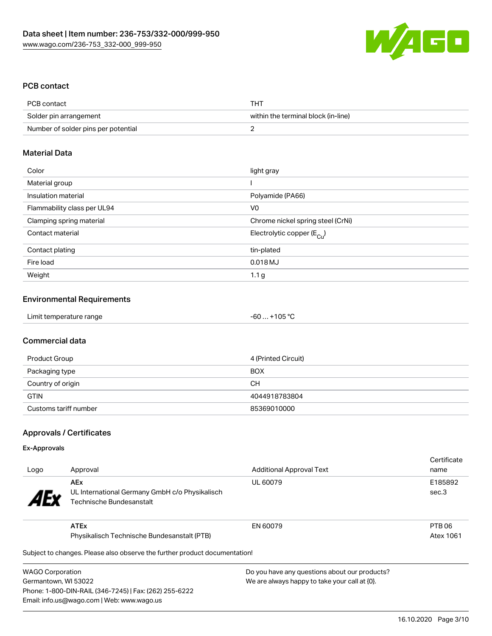

## PCB contact

| PCB contact                         | <b>THT</b>                          |
|-------------------------------------|-------------------------------------|
| Solder pin arrangement              | within the terminal block (in-line) |
| Number of solder pins per potential |                                     |

#### Material Data

| Color                       | light gray                            |
|-----------------------------|---------------------------------------|
| Material group              |                                       |
| Insulation material         | Polyamide (PA66)                      |
| Flammability class per UL94 | V <sub>0</sub>                        |
| Clamping spring material    | Chrome nickel spring steel (CrNi)     |
| Contact material            | Electrolytic copper $(E_{\text{Cl}})$ |
| Contact plating             | tin-plated                            |
| Fire load                   | 0.018 MJ                              |
| Weight                      | 1.1 <sub>g</sub>                      |

#### Environmental Requirements

| Limit temperature range | $-60+105 °C$ |  |
|-------------------------|--------------|--|
|-------------------------|--------------|--|

#### Commercial data

| Product Group         | 4 (Printed Circuit) |
|-----------------------|---------------------|
| Packaging type        | <b>BOX</b>          |
| Country of origin     | CН                  |
| <b>GTIN</b>           | 4044918783804       |
| Customs tariff number | 85369010000         |

## Approvals / Certificates

#### Ex-Approvals

| Logo                  | Approval                                                                                 | <b>Additional Approval Text</b> | Certificate<br>name |
|-----------------------|------------------------------------------------------------------------------------------|---------------------------------|---------------------|
| <b>AE<sub>y</sub></b> | <b>AEx</b><br>UL International Germany GmbH c/o Physikalisch<br>Technische Bundesanstalt | UL 60079                        | E185892<br>sec.3    |
|                       | <b>ATEx</b>                                                                              | EN 60079                        | PTB 06              |
|                       | Physikalisch Technische Bundesanstalt (PTB)                                              |                                 | Atex 1061           |
|                       | Subject to changes. Please also observe the further product documentation!               |                                 |                     |

 $\mathfrak p$ ject to changes. Please also observe the further product documentatio

WAGO Corporation Germantown, WI 53022 Phone: 1-800-DIN-RAIL (346-7245) | Fax: (262) 255-6222 Email: info.us@wago.com | Web: www.wago.us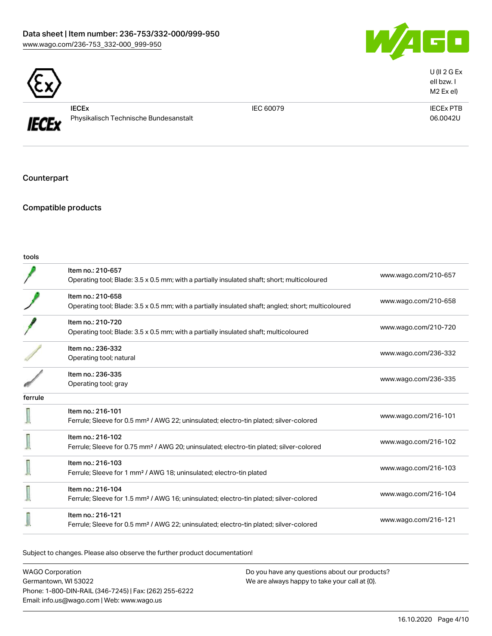## Data sheet | Item number: 236-753/332-000/999-950 [www.wago.com/236-753\\_332-000\\_999-950](http://www.wago.com/236-753_332-000_999-950)





**IECEx** 

IECEx Physikalisch Technische Bundesanstalt

IEC 60079 IECEx PTB 06.0042U

U (II 2 G Ex eII bzw. I M2 Ex eI)

Counterpart

Compatible products

tools

|         | Item no.: 210-657<br>Operating tool; Blade: 3.5 x 0.5 mm; with a partially insulated shaft; short; multicoloured         | www.wago.com/210-657 |
|---------|--------------------------------------------------------------------------------------------------------------------------|----------------------|
|         | Item no.: 210-658<br>Operating tool; Blade: 3.5 x 0.5 mm; with a partially insulated shaft; angled; short; multicoloured | www.wago.com/210-658 |
|         | Item no.: 210-720<br>Operating tool; Blade: 3.5 x 0.5 mm; with a partially insulated shaft; multicoloured                | www.wago.com/210-720 |
|         | Item no.: 236-332<br>Operating tool; natural                                                                             | www.wago.com/236-332 |
|         | Item no.: 236-335<br>Operating tool; gray                                                                                | www.wago.com/236-335 |
| ferrule |                                                                                                                          |                      |
|         | Item no.: 216-101<br>Ferrule; Sleeve for 0.5 mm <sup>2</sup> / AWG 22; uninsulated; electro-tin plated; silver-colored   | www.wago.com/216-101 |
|         | Item no.: 216-102<br>Ferrule; Sleeve for 0.75 mm <sup>2</sup> / AWG 20; uninsulated; electro-tin plated; silver-colored  | www.wago.com/216-102 |
|         | Item no.: 216-103<br>Ferrule; Sleeve for 1 mm <sup>2</sup> / AWG 18; uninsulated; electro-tin plated                     | www.wago.com/216-103 |
|         | Item no.: 216-104<br>Ferrule; Sleeve for 1.5 mm <sup>2</sup> / AWG 16; uninsulated; electro-tin plated; silver-colored   | www.wago.com/216-104 |
|         | Item no.: 216-121<br>Ferrule; Sleeve for 0.5 mm <sup>2</sup> / AWG 22; uninsulated; electro-tin plated; silver-colored   | www.wago.com/216-121 |
|         |                                                                                                                          |                      |

Subject to changes. Please also observe the further product documentation!

WAGO Corporation Germantown, WI 53022 Phone: 1-800-DIN-RAIL (346-7245) | Fax: (262) 255-6222 Email: info.us@wago.com | Web: www.wago.us Do you have any questions about our products? We are always happy to take your call at {0}.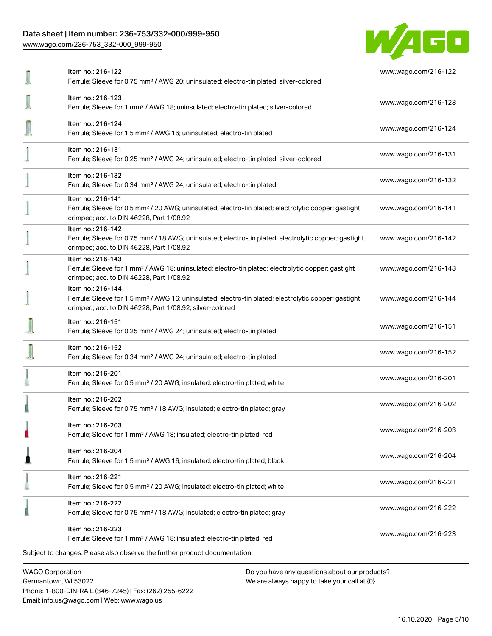## Data sheet | Item number: 236-753/332-000/999-950

[www.wago.com/236-753\\_332-000\\_999-950](http://www.wago.com/236-753_332-000_999-950)



| Item no.: 216-122<br>Ferrule; Sleeve for 0.75 mm <sup>2</sup> / AWG 20; uninsulated; electro-tin plated; silver-colored                                                                           | www.wago.com/216-122 |
|---------------------------------------------------------------------------------------------------------------------------------------------------------------------------------------------------|----------------------|
| Item no.: 216-123<br>Ferrule; Sleeve for 1 mm <sup>2</sup> / AWG 18; uninsulated; electro-tin plated; silver-colored                                                                              | www.wago.com/216-123 |
| Item no.: 216-124<br>Ferrule; Sleeve for 1.5 mm <sup>2</sup> / AWG 16; uninsulated; electro-tin plated                                                                                            | www.wago.com/216-124 |
| Item no.: 216-131<br>Ferrule; Sleeve for 0.25 mm <sup>2</sup> / AWG 24; uninsulated; electro-tin plated; silver-colored                                                                           | www.wago.com/216-131 |
| Item no.: 216-132<br>Ferrule; Sleeve for 0.34 mm <sup>2</sup> / AWG 24; uninsulated; electro-tin plated                                                                                           | www.wago.com/216-132 |
| Item no.: 216-141<br>Ferrule; Sleeve for 0.5 mm <sup>2</sup> / 20 AWG; uninsulated; electro-tin plated; electrolytic copper; gastight<br>crimped; acc. to DIN 46228, Part 1/08.92                 | www.wago.com/216-141 |
| Item no.: 216-142<br>Ferrule; Sleeve for 0.75 mm <sup>2</sup> / 18 AWG; uninsulated; electro-tin plated; electrolytic copper; gastight<br>crimped; acc. to DIN 46228, Part 1/08.92                | www.wago.com/216-142 |
| Item no.: 216-143<br>Ferrule; Sleeve for 1 mm <sup>2</sup> / AWG 18; uninsulated; electro-tin plated; electrolytic copper; gastight<br>crimped; acc. to DIN 46228, Part 1/08.92                   | www.wago.com/216-143 |
| Item no.: 216-144<br>Ferrule; Sleeve for 1.5 mm <sup>2</sup> / AWG 16; uninsulated; electro-tin plated; electrolytic copper; gastight<br>crimped; acc. to DIN 46228, Part 1/08.92; silver-colored | www.wago.com/216-144 |
| Item no.: 216-151<br>Ferrule; Sleeve for 0.25 mm <sup>2</sup> / AWG 24; uninsulated; electro-tin plated                                                                                           | www.wago.com/216-151 |
| Item no.: 216-152<br>Ferrule; Sleeve for 0.34 mm <sup>2</sup> / AWG 24; uninsulated; electro-tin plated                                                                                           | www.wago.com/216-152 |
| Item no.: 216-201<br>Ferrule; Sleeve for 0.5 mm <sup>2</sup> / 20 AWG; insulated; electro-tin plated; white                                                                                       | www.wago.com/216-201 |
| Item no.: 216-202<br>Ferrule; Sleeve for 0.75 mm <sup>2</sup> / 18 AWG; insulated; electro-tin plated; gray                                                                                       | www.wago.com/216-202 |
| Item no.: 216-203<br>Ferrule; Sleeve for 1 mm <sup>2</sup> / AWG 18; insulated; electro-tin plated; red                                                                                           | www.wago.com/216-203 |
| Item no.: 216-204<br>Ferrule; Sleeve for 1.5 mm <sup>2</sup> / AWG 16; insulated; electro-tin plated; black                                                                                       | www.wago.com/216-204 |
| Item no.: 216-221<br>Ferrule; Sleeve for 0.5 mm <sup>2</sup> / 20 AWG; insulated; electro-tin plated; white                                                                                       | www.wago.com/216-221 |
| Item no.: 216-222<br>Ferrule; Sleeve for 0.75 mm <sup>2</sup> / 18 AWG; insulated; electro-tin plated; gray                                                                                       | www.wago.com/216-222 |
| Item no.: 216-223<br>Ferrule; Sleeve for 1 mm <sup>2</sup> / AWG 18; insulated; electro-tin plated; red                                                                                           | www.wago.com/216-223 |
| Subject to changes. Please also observe the further product documentation!                                                                                                                        |                      |
| <b>WAGO Corporation</b><br>Do you have any questions about our products?                                                                                                                          |                      |

Germantown, WI 53022 Phone: 1-800-DIN-RAIL (346-7245) | Fax: (262) 255-6222 Email: info.us@wago.com | Web: www.wago.us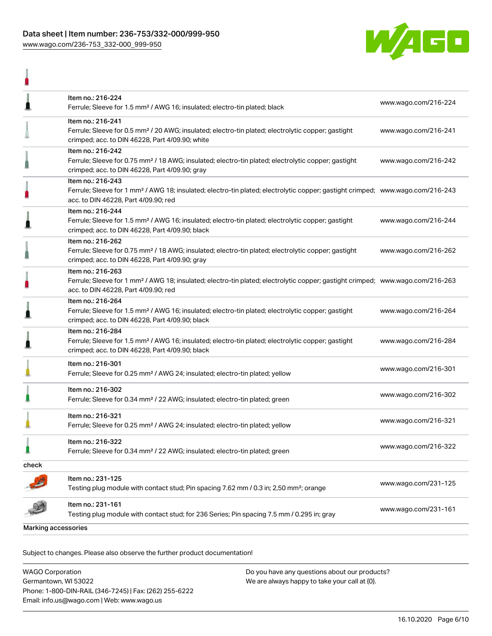## Data sheet | Item number: 236-753/332-000/999-950 [www.wago.com/236-753\\_332-000\\_999-950](http://www.wago.com/236-753_332-000_999-950)

I



| <b>Marking accessories</b> |                                                                                                                                                                                                         |                      |
|----------------------------|---------------------------------------------------------------------------------------------------------------------------------------------------------------------------------------------------------|----------------------|
|                            | Item no.: 231-161<br>Testing plug module with contact stud; for 236 Series; Pin spacing 7.5 mm / 0.295 in; gray                                                                                         | www.wago.com/231-161 |
|                            | Item no.: 231-125<br>Testing plug module with contact stud; Pin spacing 7.62 mm / 0.3 in; 2,50 mm <sup>2</sup> ; orange                                                                                 | www.wago.com/231-125 |
| check                      |                                                                                                                                                                                                         |                      |
|                            | Item no.: 216-322<br>Ferrule; Sleeve for 0.34 mm <sup>2</sup> / 22 AWG; insulated; electro-tin plated; green                                                                                            | www.wago.com/216-322 |
|                            | Item no.: 216-321<br>Ferrule; Sleeve for 0.25 mm <sup>2</sup> / AWG 24; insulated; electro-tin plated; yellow                                                                                           | www.wago.com/216-321 |
|                            | Item no.: 216-302<br>Ferrule; Sleeve for 0.34 mm <sup>2</sup> / 22 AWG; insulated; electro-tin plated; green                                                                                            | www.wago.com/216-302 |
|                            | Item no.: 216-301<br>Ferrule; Sleeve for 0.25 mm <sup>2</sup> / AWG 24; insulated; electro-tin plated; yellow                                                                                           | www.wago.com/216-301 |
|                            | Item no.: 216-284<br>Ferrule; Sleeve for 1.5 mm <sup>2</sup> / AWG 16; insulated; electro-tin plated; electrolytic copper; gastight<br>crimped; acc. to DIN 46228, Part 4/09.90; black                  | www.wago.com/216-284 |
|                            | Item no.: 216-264<br>Ferrule; Sleeve for 1.5 mm <sup>2</sup> / AWG 16; insulated; electro-tin plated; electrolytic copper; gastight<br>crimped; acc. to DIN 46228, Part 4/09.90; black                  | www.wago.com/216-264 |
|                            | Item no.: 216-263<br>Ferrule; Sleeve for 1 mm <sup>2</sup> / AWG 18; insulated; electro-tin plated; electrolytic copper; gastight crimped; www.wago.com/216-263<br>acc. to DIN 46228, Part 4/09.90; red |                      |
|                            | Item no.: 216-262<br>Ferrule; Sleeve for 0.75 mm <sup>2</sup> / 18 AWG; insulated; electro-tin plated; electrolytic copper; gastight<br>crimped; acc. to DIN 46228, Part 4/09.90; gray                  | www.wago.com/216-262 |
|                            | Item no.: 216-244<br>Ferrule; Sleeve for 1.5 mm <sup>2</sup> / AWG 16; insulated; electro-tin plated; electrolytic copper; gastight<br>crimped; acc. to DIN 46228, Part 4/09.90; black                  | www.wago.com/216-244 |
|                            | Item no.: 216-243<br>Ferrule; Sleeve for 1 mm <sup>2</sup> / AWG 18; insulated; electro-tin plated; electrolytic copper; gastight crimped; www.wago.com/216-243<br>acc. to DIN 46228, Part 4/09.90; red |                      |
|                            | Item no.: 216-242<br>Ferrule; Sleeve for 0.75 mm <sup>2</sup> / 18 AWG; insulated; electro-tin plated; electrolytic copper; gastight<br>crimped; acc. to DIN 46228, Part 4/09.90; gray                  | www.wago.com/216-242 |
|                            | Item no.: 216-241<br>Ferrule; Sleeve for 0.5 mm <sup>2</sup> / 20 AWG; insulated; electro-tin plated; electrolytic copper; gastight<br>crimped; acc. to DIN 46228, Part 4/09.90; white                  | www.wago.com/216-241 |
|                            | Item no.: 216-224<br>Ferrule; Sleeve for 1.5 mm <sup>2</sup> / AWG 16; insulated; electro-tin plated; black                                                                                             | www.wago.com/216-224 |
|                            |                                                                                                                                                                                                         |                      |

Subject to changes. Please also observe the further product documentation!

| <b>WAGO Corporation</b>                                | Do you have any questions about our products? |
|--------------------------------------------------------|-----------------------------------------------|
| Germantown, WI 53022                                   | We are always happy to take your call at {0}. |
| Phone: 1-800-DIN-RAIL (346-7245)   Fax: (262) 255-6222 |                                               |
| Email: info.us@wago.com   Web: www.wago.us             |                                               |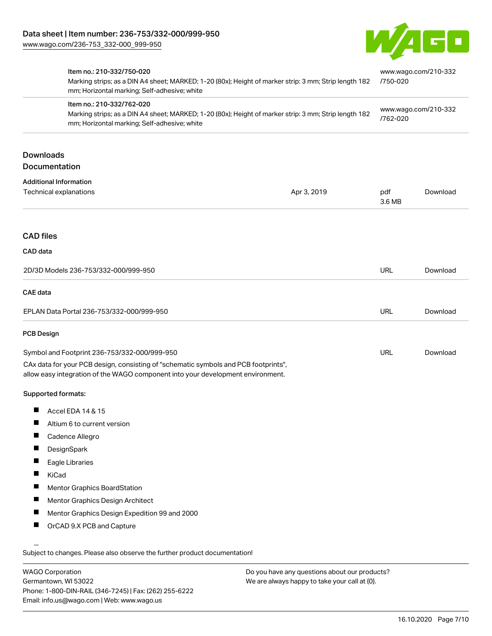

|                                                         | Item no.: 210-332/750-020<br>Marking strips; as a DIN A4 sheet; MARKED; 1-20 (80x); Height of marker strip: 3 mm; Strip length 182<br>mm; Horizontal marking; Self-adhesive; white<br>Item no.: 210-332/762-020<br>Marking strips; as a DIN A4 sheet; MARKED; 1-20 (80x); Height of marker strip: 3 mm; Strip length 182<br>mm; Horizontal marking; Self-adhesive; white |             | www.wago.com/210-332<br>/750-020<br>www.wago.com/210-332<br>/762-020 |          |
|---------------------------------------------------------|--------------------------------------------------------------------------------------------------------------------------------------------------------------------------------------------------------------------------------------------------------------------------------------------------------------------------------------------------------------------------|-------------|----------------------------------------------------------------------|----------|
|                                                         |                                                                                                                                                                                                                                                                                                                                                                          |             |                                                                      |          |
| <b>Downloads</b><br>Documentation                       |                                                                                                                                                                                                                                                                                                                                                                          |             |                                                                      |          |
| <b>Additional Information</b><br>Technical explanations |                                                                                                                                                                                                                                                                                                                                                                          | Apr 3, 2019 | pdf<br>3.6 MB                                                        | Download |
| <b>CAD files</b>                                        |                                                                                                                                                                                                                                                                                                                                                                          |             |                                                                      |          |
| CAD data                                                |                                                                                                                                                                                                                                                                                                                                                                          |             |                                                                      |          |
|                                                         | 2D/3D Models 236-753/332-000/999-950                                                                                                                                                                                                                                                                                                                                     |             | <b>URL</b>                                                           | Download |
| <b>CAE</b> data                                         |                                                                                                                                                                                                                                                                                                                                                                          |             |                                                                      |          |
| EPLAN Data Portal 236-753/332-000/999-950               |                                                                                                                                                                                                                                                                                                                                                                          | <b>URL</b>  | Download                                                             |          |
| <b>PCB Design</b>                                       |                                                                                                                                                                                                                                                                                                                                                                          |             |                                                                      |          |
| Symbol and Footprint 236-753/332-000/999-950            |                                                                                                                                                                                                                                                                                                                                                                          | <b>URL</b>  | Download                                                             |          |
|                                                         | CAx data for your PCB design, consisting of "schematic symbols and PCB footprints",<br>allow easy integration of the WAGO component into your development environment.                                                                                                                                                                                                   |             |                                                                      |          |
| Supported formats:                                      |                                                                                                                                                                                                                                                                                                                                                                          |             |                                                                      |          |
|                                                         | Accel EDA 14 & 15                                                                                                                                                                                                                                                                                                                                                        |             |                                                                      |          |
| Ш<br>Altium 6 to current version                        |                                                                                                                                                                                                                                                                                                                                                                          |             |                                                                      |          |
| Ш<br>Cadence Allegro                                    |                                                                                                                                                                                                                                                                                                                                                                          |             |                                                                      |          |
|                                                         | DesignSpark                                                                                                                                                                                                                                                                                                                                                              |             |                                                                      |          |
| a ka                                                    | Eagle Libraries                                                                                                                                                                                                                                                                                                                                                          |             |                                                                      |          |
| п<br>KiCad                                              |                                                                                                                                                                                                                                                                                                                                                                          |             |                                                                      |          |
|                                                         | Mentor Graphics BoardStation                                                                                                                                                                                                                                                                                                                                             |             |                                                                      |          |
| ш                                                       | Mentor Graphics Design Architect                                                                                                                                                                                                                                                                                                                                         |             |                                                                      |          |
| ш                                                       | Mentor Graphics Design Expedition 99 and 2000                                                                                                                                                                                                                                                                                                                            |             |                                                                      |          |
| ш                                                       | OrCAD 9.X PCB and Capture                                                                                                                                                                                                                                                                                                                                                |             |                                                                      |          |
|                                                         | Subject to changes. Please also observe the further product documentation!                                                                                                                                                                                                                                                                                               |             |                                                                      |          |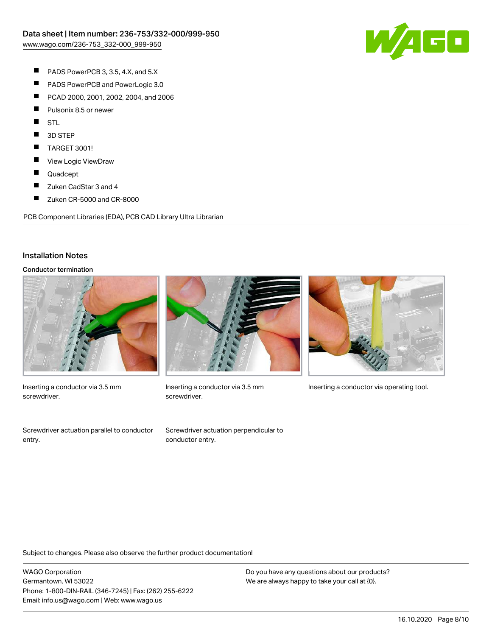

- $\blacksquare$ PADS PowerPCB 3, 3.5, 4.X, and 5.X
- $\blacksquare$ PADS PowerPCB and PowerLogic 3.0
- $\blacksquare$ PCAD 2000, 2001, 2002, 2004, and 2006
- $\blacksquare$ Pulsonix 8.5 or newer
- $\blacksquare$ STL
- $\blacksquare$ 3D STEP
- $\blacksquare$ TARGET 3001!
- $\blacksquare$ View Logic ViewDraw
- $\blacksquare$ Quadcept
- П Zuken CadStar 3 and 4
- $\blacksquare$ Zuken CR-5000 and CR-8000

PCB Component Libraries (EDA), PCB CAD Library Ultra Librarian

#### Installation Notes

#### Conductor termination



Inserting a conductor via 3.5 mm screwdriver.

Screwdriver actuation parallel to conductor entry.



screwdriver.

Screwdriver actuation perpendicular to

conductor entry.



Subject to changes. Please also observe the further product documentation!

WAGO Corporation Germantown, WI 53022 Phone: 1-800-DIN-RAIL (346-7245) | Fax: (262) 255-6222 Email: info.us@wago.com | Web: www.wago.us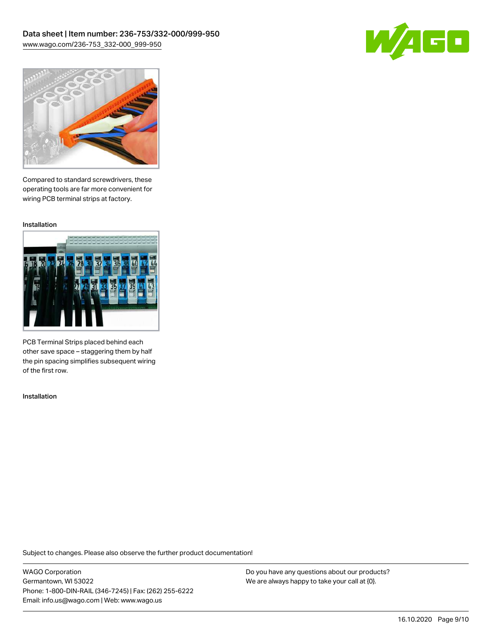



Compared to standard screwdrivers, these operating tools are far more convenient for wiring PCB terminal strips at factory.

Installation



PCB Terminal Strips placed behind each other save space – staggering them by half the pin spacing simplifies subsequent wiring of the first row.

Installation

Subject to changes. Please also observe the further product documentation!

WAGO Corporation Germantown, WI 53022 Phone: 1-800-DIN-RAIL (346-7245) | Fax: (262) 255-6222 Email: info.us@wago.com | Web: www.wago.us